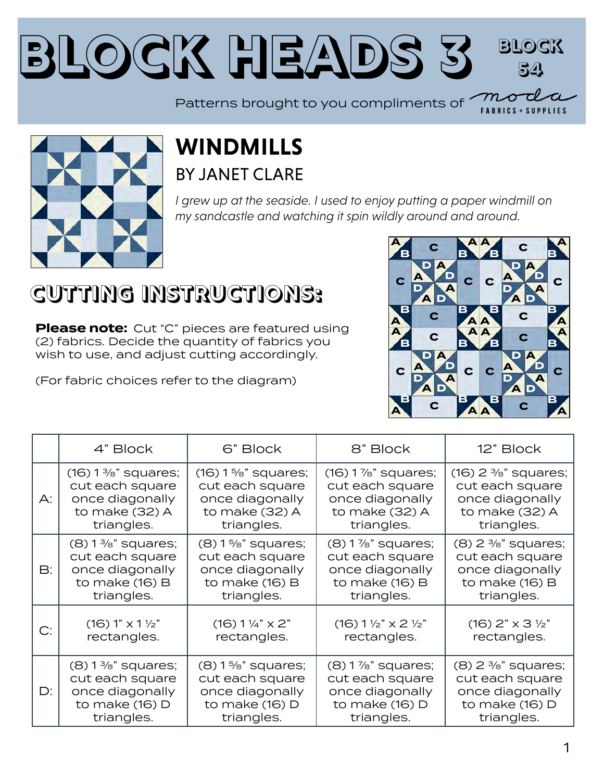#### **Block Heads [3](https://modafabrics.com) Block 54** Patterns brought to you compliments of  $\sim$



#### **WINDMILLS** BY [JANET CLARE](https://my.modafabrics.com/designers/janet-clare)

*I grew up at the seaside. I used to enjoy putting a paper windmill on my sandcastle and watching it spin wildly around and around.*

## **CUTTING INSTRUCTIONS:**

**Please note:** Cut "C" pieces are featured using (2) fabrics. Decide the quantity of fabrics you wish to use, and adjust cutting accordingly.

(For fabric choices refer to the diagram)



**FABRICS + SUPPLIES** 

|                | 4" Block                      | 6" Block                      | 8" Block                                        | 12" Block                         |
|----------------|-------------------------------|-------------------------------|-------------------------------------------------|-----------------------------------|
| $\mathsf{A}$ : | $(16) 1\%$ " squares;         | $(16) 1\%$ " squares;         | $(16)$ 1 %" squares;                            | $(16)$ 2 $\frac{3}{8}$ " squares; |
|                | cut each square               | cut each square               | cut each square                                 | cut each square                   |
|                | once diagonally               | once diagonally               | once diagonally                                 | once diagonally                   |
|                | to make (32) A                | to make (32) A                | to make (32) A                                  | to make (32) A                    |
|                | triangles.                    | triangles.                    | triangles.                                      | triangles.                        |
| $\mathsf{B}:$  | $(8)$ 1 %" squares;           | $(8) 1\frac{5}{8}$ " squares; | $(8)$ 1 %" squares;                             | $(8)$ 2 $\frac{3}{8}$ " squares;  |
|                | cut each square               | cut each square               | cut each square                                 | cut each square                   |
|                | once diagonally               | once diagonally               | once diagonally                                 | once diagonally                   |
|                | to make $(16)$ B              | to make $(16)$ B              | to make $(16)$ B                                | to make $(16)$ B                  |
|                | triangles.                    | triangles.                    | triangles.                                      | triangles.                        |
| C:             | $(16) 1" \times 1\frac{1}{2}$ | $(16) 1\frac{1}{4}$ x 2"      | $(16) 1 \frac{1}{2}$ $\times$ 2 $\frac{1}{2}$ " | $(16)$ 2" x 3 1/2"                |
|                | rectangles.                   | rectangles.                   | rectangles.                                     | rectangles.                       |
| $D$ :          | $(8)$ 1 %" squares;           | $(8) 1\frac{5}{8}$ " squares; | $(8)$ 1 %" squares;                             | $(8)$ 2 $\frac{3}{8}$ " squares;  |
|                | cut each square               | cut each square               | cut each square                                 | cut each square                   |
|                | once diagonally               | once diagonally               | once diagonally                                 | once diagonally                   |
|                | to make (16) D                | to make (16) D                | to make (16) D                                  | to make (16) D                    |
|                | triangles.                    | triangles.                    | triangles.                                      | triangles.                        |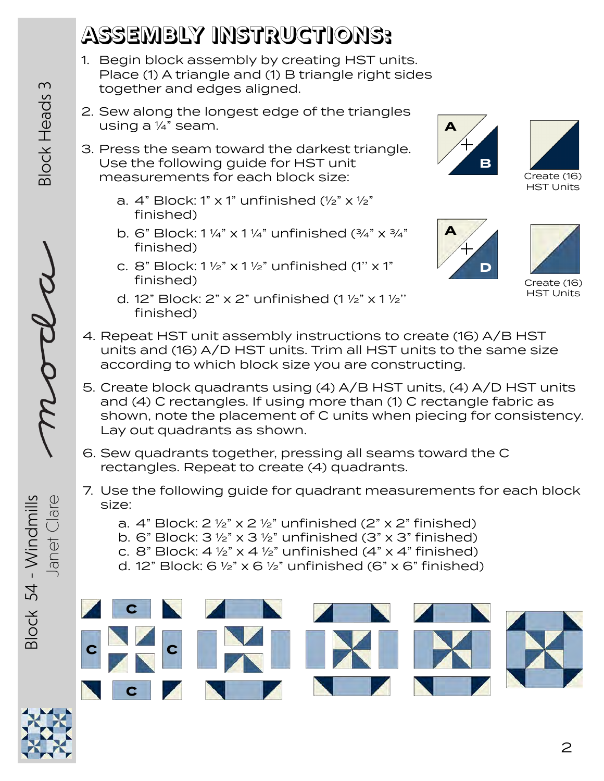# **ASSEMBLY INSTRUCTIONS:**

- 1. Begin block assembly by creating HST units. Place (1) A triangle and (1) B triangle right sides together and edges aligned.
- 2. Sew along the longest edge of the triangles using a ¼" seam.
- 3. Press the seam toward the darkest triangle. Use the following guide for HST unit measurements for each block size:
	- a. 4" Block: 1" x 1" unfinished  $(\frac{1}{2}$ " x  $\frac{1}{2}$ " finished)
	- b. 6" Block:  $1\frac{1}{4}$ " x  $1\frac{1}{4}$ " unfinished  $\left(\frac{3}{4}$ " x  $\frac{3}{4}$ " finished)
	- c. 8" Block:  $1\frac{1}{2}$ " x  $1\frac{1}{2}$ " unfinished (1" x 1" finished)
	- d. 12" Block: 2" x 2" unfinished  $(1 \frac{1}{2}$ " x 1 $\frac{1}{2}$ " finished)









Create (16) HST Units

- 4. Repeat HST unit assembly instructions to create (16) A/B HST units and (16) A/D HST units. Trim all HST units to the same size according to which block size you are constructing.
- 5. Create block quadrants using (4) A/B HST units, (4) A/D HST units and (4) C rectangles. If using more than (1) C rectangle fabric as shown, note the placement of C units when piecing for consistency. Lay out quadrants as shown.
- 6. Sew quadrants together, pressing all seams toward the C rectangles. Repeat to create (4) quadrants.
- 7. Use the following guide for quadrant measurements for each block size:
	- a.  $4$ " Block:  $2 \frac{1}{2}$ " x  $2 \frac{1}{2}$ " unfinished ( $2$ " x  $2$ " finished)
	- b. 6" Block:  $3\frac{1}{2}$ " x  $3\frac{1}{2}$ " unfinished (3" x 3" finished)
	- c. 8" Block:  $4\frac{1}{2}$ " x  $4\frac{1}{2}$ " unfinished ( $4$ " x  $4$ " finished)
	- d. 12" Block: 6  $\frac{1}{2}$ " x 6  $\frac{1}{2}$ " unfinished (6" x 6" finished)